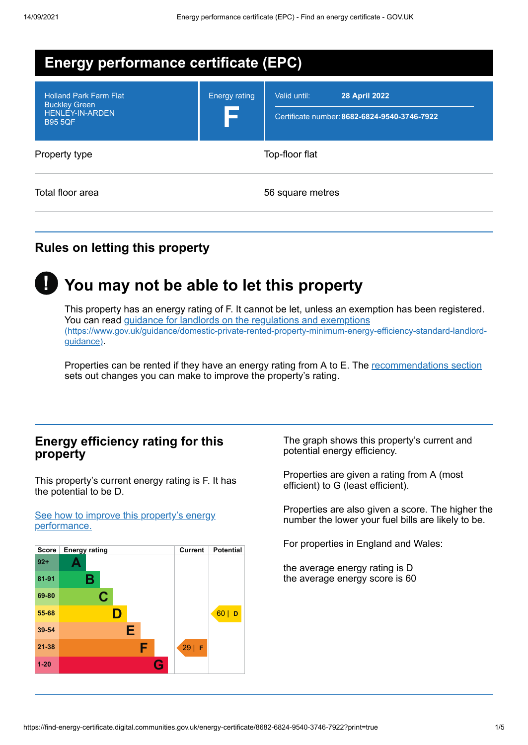| <b>Energy performance certificate (EPC)</b>                                                       |                             |                                                                                      |
|---------------------------------------------------------------------------------------------------|-----------------------------|--------------------------------------------------------------------------------------|
| <b>Holland Park Farm Flat</b><br><b>Buckley Green</b><br><b>HENLEY-IN-ARDEN</b><br><b>B95 5QF</b> | <b>Energy rating</b><br>1 S | Valid until:<br><b>28 April 2022</b><br>Certificate number: 8682-6824-9540-3746-7922 |
| Property type                                                                                     |                             | Top-floor flat                                                                       |
| Total floor area                                                                                  |                             | 56 square metres                                                                     |

# **Rules on letting this property**



# **You may not be able to let this property**

This property has an energy rating of F. It cannot be let, unless an exemption has been registered. You can read guidance for landlords on the regulations and exemptions [\(https://www.gov.uk/guidance/domestic-private-rented-property-minimum-energy-efficiency-standard-landlord](https://www.gov.uk/guidance/domestic-private-rented-property-minimum-energy-efficiency-standard-landlord-guidance)guidance).

Properties can be rented if they have an energy rating from A to E. The [recommendations](#page-2-0) section sets out changes you can make to improve the property's rating.

## **Energy efficiency rating for this property**

This property's current energy rating is F. It has the potential to be D.

See how to improve this property's energy [performance.](#page-2-0)



The graph shows this property's current and potential energy efficiency.

Properties are given a rating from A (most efficient) to G (least efficient).

Properties are also given a score. The higher the number the lower your fuel bills are likely to be.

For properties in England and Wales:

the average energy rating is D the average energy score is 60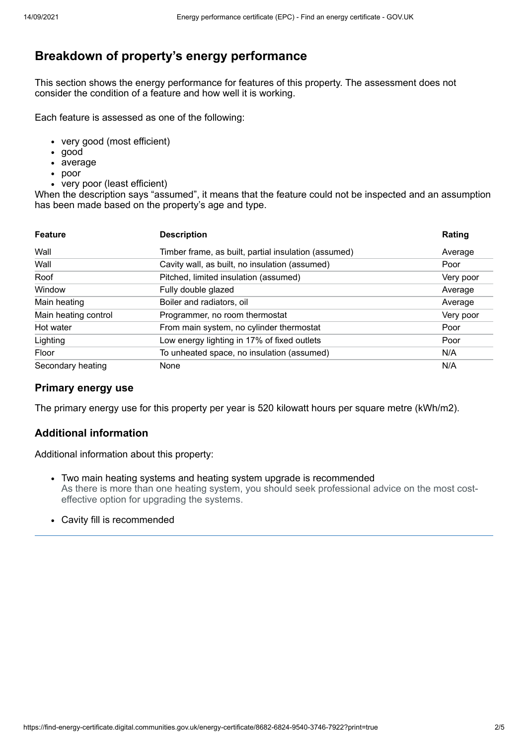# **Breakdown of property's energy performance**

This section shows the energy performance for features of this property. The assessment does not consider the condition of a feature and how well it is working.

Each feature is assessed as one of the following:

- very good (most efficient)
- good
- average
- poor
- very poor (least efficient)

When the description says "assumed", it means that the feature could not be inspected and an assumption has been made based on the property's age and type.

| <b>Feature</b>       | <b>Description</b>                                   | Rating    |
|----------------------|------------------------------------------------------|-----------|
| Wall                 | Timber frame, as built, partial insulation (assumed) | Average   |
| Wall                 | Cavity wall, as built, no insulation (assumed)       | Poor      |
| Roof                 | Pitched, limited insulation (assumed)                | Very poor |
| Window               | Fully double glazed                                  | Average   |
| Main heating         | Boiler and radiators, oil                            | Average   |
| Main heating control | Programmer, no room thermostat                       | Very poor |
| Hot water            | From main system, no cylinder thermostat             | Poor      |
| Lighting             | Low energy lighting in 17% of fixed outlets          | Poor      |
| Floor                | To unheated space, no insulation (assumed)           | N/A       |
| Secondary heating    | None                                                 | N/A       |

#### **Primary energy use**

The primary energy use for this property per year is 520 kilowatt hours per square metre (kWh/m2).

#### **Additional information**

Additional information about this property:

- Two main heating systems and heating system upgrade is recommended As there is more than one heating system, you should seek professional advice on the most costeffective option for upgrading the systems.
- Cavity fill is recommended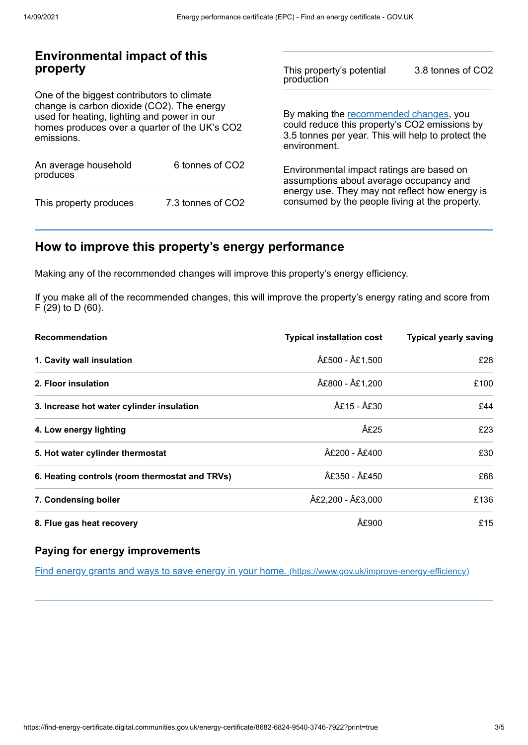## **Environmental impact of this property**

One of the biggest contributors to climate change is carbon dioxide (CO2). The energy used for heating, lighting and power in our homes produces over a quarter of the UK's CO2 emissions.

| An average household<br>produces | 6 tonnes of CO2   |  |
|----------------------------------|-------------------|--|
| This property produces           | 7.3 tonnes of CO2 |  |

This property's potential production 3.8 tonnes of CO2

By making the [recommended](#page-2-0) changes, you could reduce this property's CO2 emissions by 3.5 tonnes per year. This will help to protect the environment.

Environmental impact ratings are based on assumptions about average occupancy and energy use. They may not reflect how energy is consumed by the people living at the property.

# <span id="page-2-0"></span>**How to improve this property's energy performance**

Making any of the recommended changes will improve this property's energy efficiency.

If you make all of the recommended changes, this will improve the property's energy rating and score from F (29) to D (60).

| <b>Recommendation</b>                          | <b>Typical installation cost</b> | <b>Typical yearly saving</b> |
|------------------------------------------------|----------------------------------|------------------------------|
| 1. Cavity wall insulation                      | £500 - £1,500                    | £28                          |
| 2. Floor insulation                            | £800 - £1,200                    | £100                         |
| 3. Increase hot water cylinder insulation      | £15 - £30                        | £44                          |
| 4. Low energy lighting                         | £25                              | £23                          |
| 5. Hot water cylinder thermostat               | £200 - £400                      | £30                          |
| 6. Heating controls (room thermostat and TRVs) | £350 - £450                      | £68                          |
| 7. Condensing boiler                           | £2,200 - £3,000                  | £136                         |
| 8. Flue gas heat recovery                      | £900                             | £15                          |

#### **Paying for energy improvements**

Find energy grants and ways to save energy in your home. [\(https://www.gov.uk/improve-energy-efficiency\)](https://www.gov.uk/improve-energy-efficiency)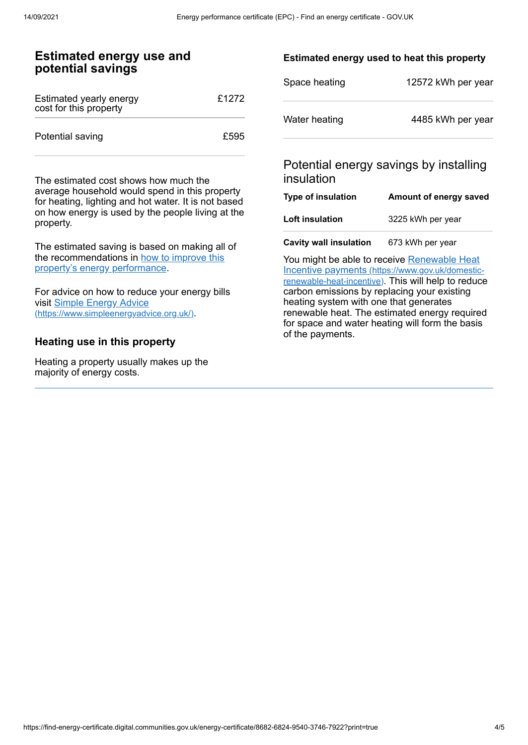#### **Estimated energy use and potential savings**

| Estimated yearly energy<br>cost for this property | £1272 |
|---------------------------------------------------|-------|
| Potential saving                                  | £595  |

The estimated cost shows how much the average household would spend in this property for heating, lighting and hot water. It is not based on how energy is used by the people living at the property.

The estimated saving is based on making all of the [recommendations](#page-2-0) in how to improve this property's energy performance.

For advice on how to reduce your energy bills visit Simple Energy Advice [\(https://www.simpleenergyadvice.org.uk/\)](https://www.simpleenergyadvice.org.uk/).

#### **Heating use in this property**

Heating a property usually makes up the majority of energy costs.

#### **Estimated energy used to heat this property**

| Space heating | 12572 kWh per year |
|---------------|--------------------|
| Water heating | 4485 kWh per year  |

## Potential energy savings by installing insulation

| Type of insulation            | Amount of energy saved |
|-------------------------------|------------------------|
| Loft insulation               | 3225 kWh per year      |
| <b>Cavity wall insulation</b> | 673 kWh per year       |

You might be able to receive Renewable Heat Incentive payments [\(https://www.gov.uk/domestic](https://www.gov.uk/domestic-renewable-heat-incentive)renewable-heat-incentive). This will help to reduce carbon emissions by replacing your existing heating system with one that generates renewable heat. The estimated energy required for space and water heating will form the basis of the payments.